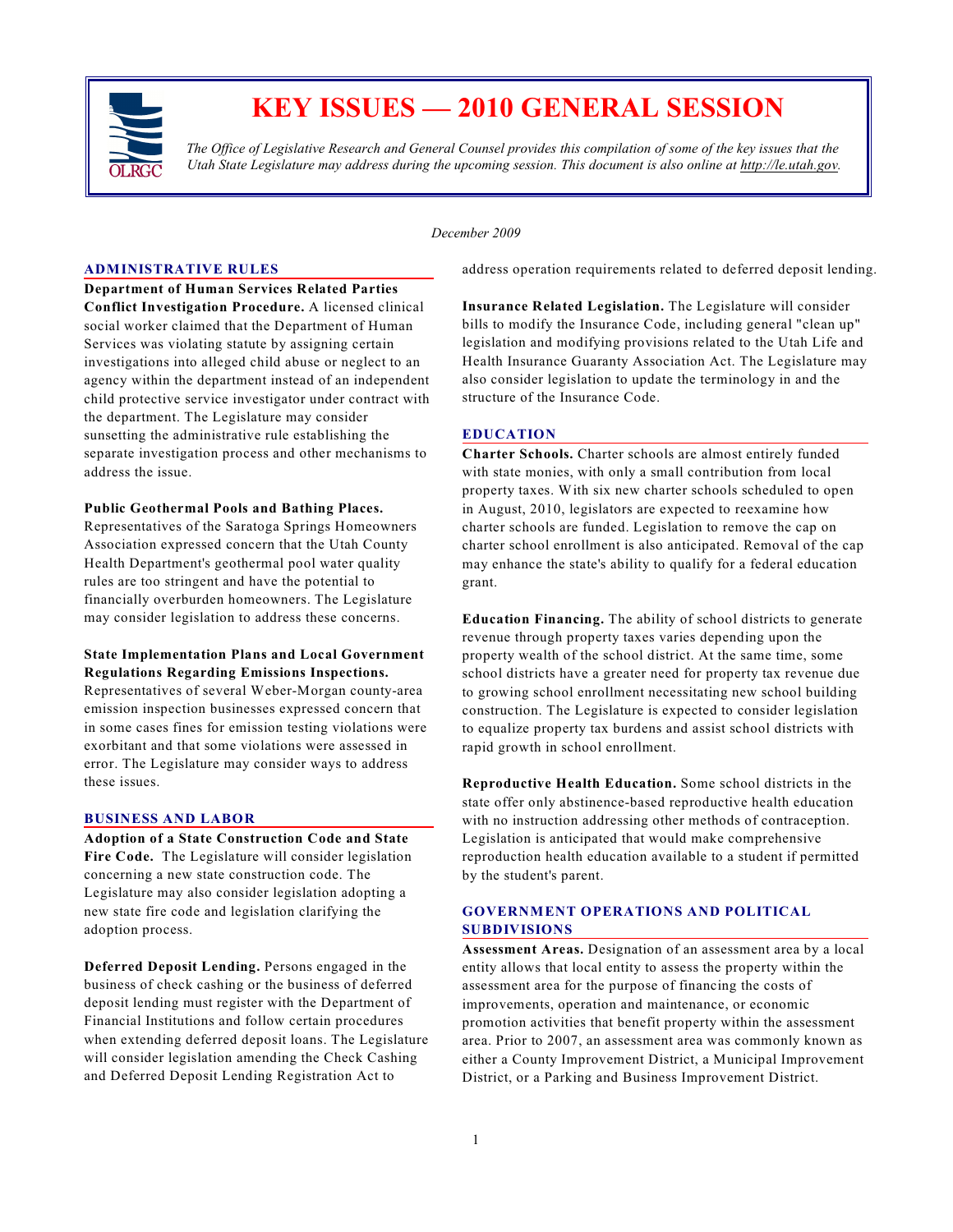

# **KEY ISSUES — 2010 GENERAL SESSION**

*The Office of Legislative Research and General Counsel provides this compilation of some of the key issues that the Utah State Legislature may address during the upcoming session. This document is also online at http://le.utah.gov.*

*December 2009*

#### **ADMINISTRATIVE RULES**

**Department of Human Services Related Parties Conflict Investigation Procedure.** A licensed clinical social worker claimed that the Department of Human Services was violating statute by assigning certain investigations into alleged child abuse or neglect to an agency within the department instead of an independent child protective service investigator under contract with the department. The Legislature may consider sunsetting the administrative rule establishing the separate investigation process and other mechanisms to address the issue.

#### **Public Geothermal Pools and Bathing Places.**

Representatives of the Saratoga Springs Homeowners Association expressed concern that the Utah County Health Department's geothermal pool water quality rules are too stringent and have the potential to financially overburden homeowners. The Legislature may consider legislation to address these concerns.

## **State Implementation Plans and Local Government Regulations Regarding Emissions Inspections.**

Representatives of several Weber-Morgan county-area emission inspection businesses expressed concern that in some cases fines for emission testing violations were exorbitant and that some violations were assessed in error. The Legislature may consider ways to address these issues.

## **BUSINESS AND LABOR**

**Adoption of a State Construction Code and State Fire Code.** The Legislature will consider legislation concerning a new state construction code. The Legislature may also consider legislation adopting a new state fire code and legislation clarifying the adoption process.

**Deferred Deposit Lending.** Persons engaged in the business of check cashing or the business of deferred deposit lending must register with the Department of Financial Institutions and follow certain procedures when extending deferred deposit loans. The Legislature will consider legislation amending the Check Cashing and Deferred Deposit Lending Registration Act to

address operation requirements related to deferred deposit lending.

**Insurance Related Legislation.** The Legislature will consider bills to modify the Insurance Code, including general "clean up" legislation and modifying provisions related to the Utah Life and Health Insurance Guaranty Association Act. The Legislature may also consider legislation to update the terminology in and the structure of the Insurance Code.

#### **EDUCATION**

**Charter Schools.** Charter schools are almost entirely funded with state monies, with only a small contribution from local property taxes. With six new charter schools scheduled to open in August, 2010, legislators are expected to reexamine how charter schools are funded. Legislation to remove the cap on charter school enrollment is also anticipated. Removal of the cap may enhance the state's ability to qualify for a federal education grant.

**Education Financing.** The ability of school districts to generate revenue through property taxes varies depending upon the property wealth of the school district. At the same time, some school districts have a greater need for property tax revenue due to growing school enrollment necessitating new school building construction. The Legislature is expected to consider legislation to equalize property tax burdens and assist school districts with rapid growth in school enrollment.

**Reproductive Health Education.** Some school districts in the state offer only abstinence-based reproductive health education with no instruction addressing other methods of contraception. Legislation is anticipated that would make comprehensive reproduction health education available to a student if permitted by the student's parent.

# **GOVERNMENT OPERATIONS AND POLITICAL SUBDIVISIONS**

**Assessment Areas.** Designation of an assessment area by a local entity allows that local entity to assess the property within the assessment area for the purpose of financing the costs of improvements, operation and maintenance, or economic promotion activities that benefit property within the assessment area. Prior to 2007, an assessment area was commonly known as either a County Improvement District, a Municipal Improvement District, or a Parking and Business Improvement District.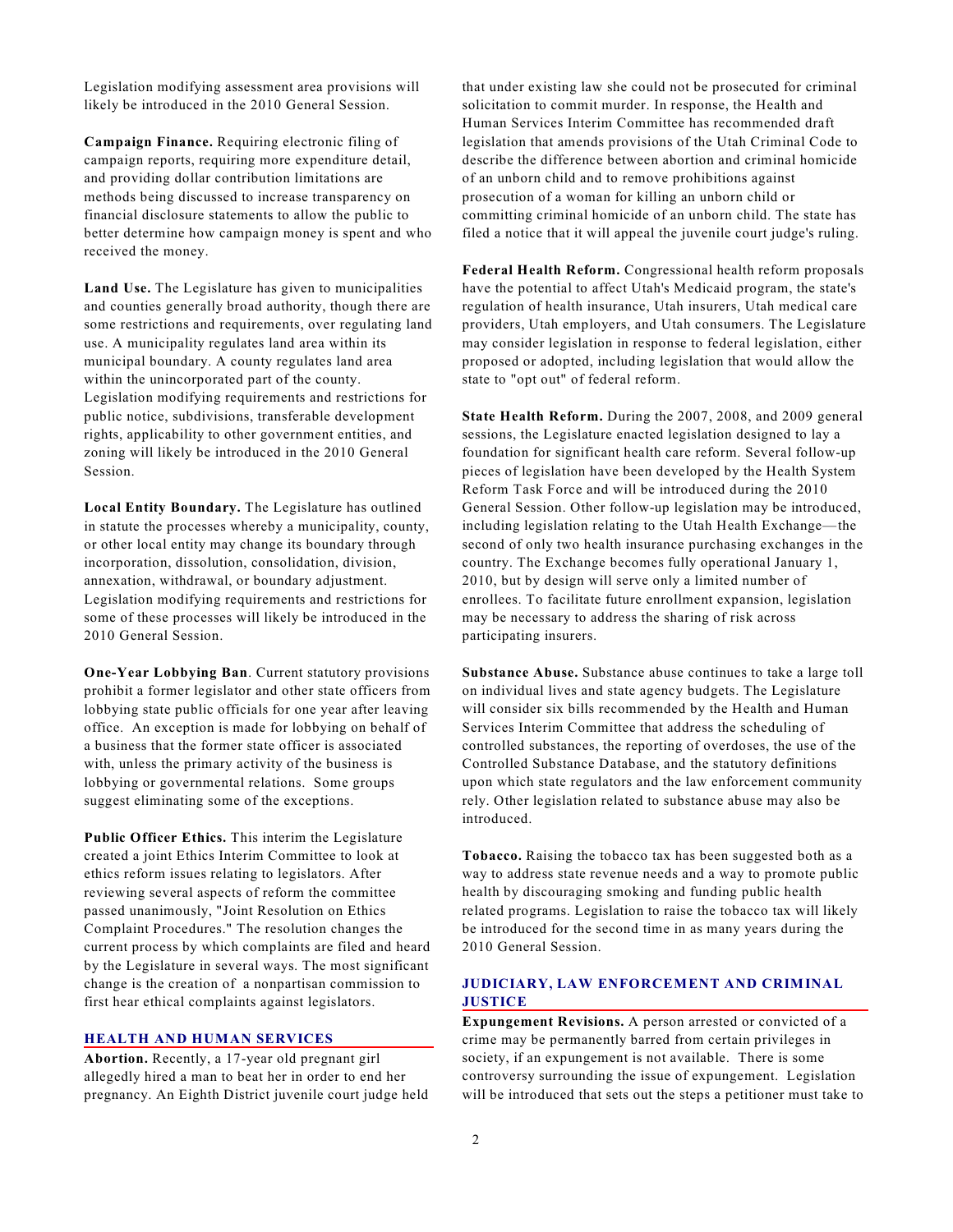Legislation modifying assessment area provisions will likely be introduced in the 2010 General Session.

**Campaign Finance.** Requiring electronic filing of campaign reports, requiring more expenditure detail, and providing dollar contribution limitations are methods being discussed to increase transparency on financial disclosure statements to allow the public to better determine how campaign money is spent and who received the money.

**Land Use.** The Legislature has given to municipalities and counties generally broad authority, though there are some restrictions and requirements, over regulating land use. A municipality regulates land area within its municipal boundary. A county regulates land area within the unincorporated part of the county. Legislation modifying requirements and restrictions for public notice, subdivisions, transferable development rights, applicability to other government entities, and zoning will likely be introduced in the 2010 General Session.

**Local Entity Boundary.** The Legislature has outlined in statute the processes whereby a municipality, county, or other local entity may change its boundary through incorporation, dissolution, consolidation, division, annexation, withdrawal, or boundary adjustment. Legislation modifying requirements and restrictions for some of these processes will likely be introduced in the 2010 General Session.

**One-Year Lobbying Ban**. Current statutory provisions prohibit a former legislator and other state officers from lobbying state public officials for one year after leaving office. An exception is made for lobbying on behalf of a business that the former state officer is associated with, unless the primary activity of the business is lobbying or governmental relations. Some groups suggest eliminating some of the exceptions.

**Public Officer Ethics.** This interim the Legislature created a joint Ethics Interim Committee to look at ethics reform issues relating to legislators. After reviewing several aspects of reform the committee passed unanimously, "Joint Resolution on Ethics Complaint Procedures." The resolution changes the current process by which complaints are filed and heard by the Legislature in several ways. The most significant change is the creation of a nonpartisan commission to first hear ethical complaints against legislators.

## **HEALTH AND HUMAN SERVICES**

**Abortion.** Recently, a 17-year old pregnant girl allegedly hired a man to beat her in order to end her pregnancy. An Eighth District juvenile court judge held

that under existing law she could not be prosecuted for criminal solicitation to commit murder. In response, the Health and Human Services Interim Committee has recommended draft legislation that amends provisions of the Utah Criminal Code to describe the difference between abortion and criminal homicide of an unborn child and to remove prohibitions against prosecution of a woman for killing an unborn child or committing criminal homicide of an unborn child. The state has filed a notice that it will appeal the juvenile court judge's ruling.

**Federal Health Reform.** Congressional health reform proposals have the potential to affect Utah's Medicaid program, the state's regulation of health insurance, Utah insurers, Utah medical care providers, Utah employers, and Utah consumers. The Legislature may consider legislation in response to federal legislation, either proposed or adopted, including legislation that would allow the state to "opt out" of federal reform.

**State Health Reform.** During the 2007, 2008, and 2009 general sessions, the Legislature enacted legislation designed to lay a foundation for significant health care reform. Several follow-up pieces of legislation have been developed by the Health System Reform Task Force and will be introduced during the 2010 General Session. Other follow-up legislation may be introduced, including legislation relating to the Utah Health Exchange—the second of only two health insurance purchasing exchanges in the country. The Exchange becomes fully operational January 1, 2010, but by design will serve only a limited number of enrollees. To facilitate future enrollment expansion, legislation may be necessary to address the sharing of risk across participating insurers.

**Substance Abuse.** Substance abuse continues to take a large toll on individual lives and state agency budgets. The Legislature will consider six bills recommended by the Health and Human Services Interim Committee that address the scheduling of controlled substances, the reporting of overdoses, the use of the Controlled Substance Database, and the statutory definitions upon which state regulators and the law enforcement community rely. Other legislation related to substance abuse may also be introduced.

**Tobacco.** Raising the tobacco tax has been suggested both as a way to address state revenue needs and a way to promote public health by discouraging smoking and funding public health related programs. Legislation to raise the tobacco tax will likely be introduced for the second time in as many years during the 2010 General Session.

# **JUDICIARY, LAW ENFORCEMENT AND CRIMINAL JUSTICE**

**Expungement Revisions.** A person arrested or convicted of a crime may be permanently barred from certain privileges in society, if an expungement is not available. There is some controversy surrounding the issue of expungement. Legislation will be introduced that sets out the steps a petitioner must take to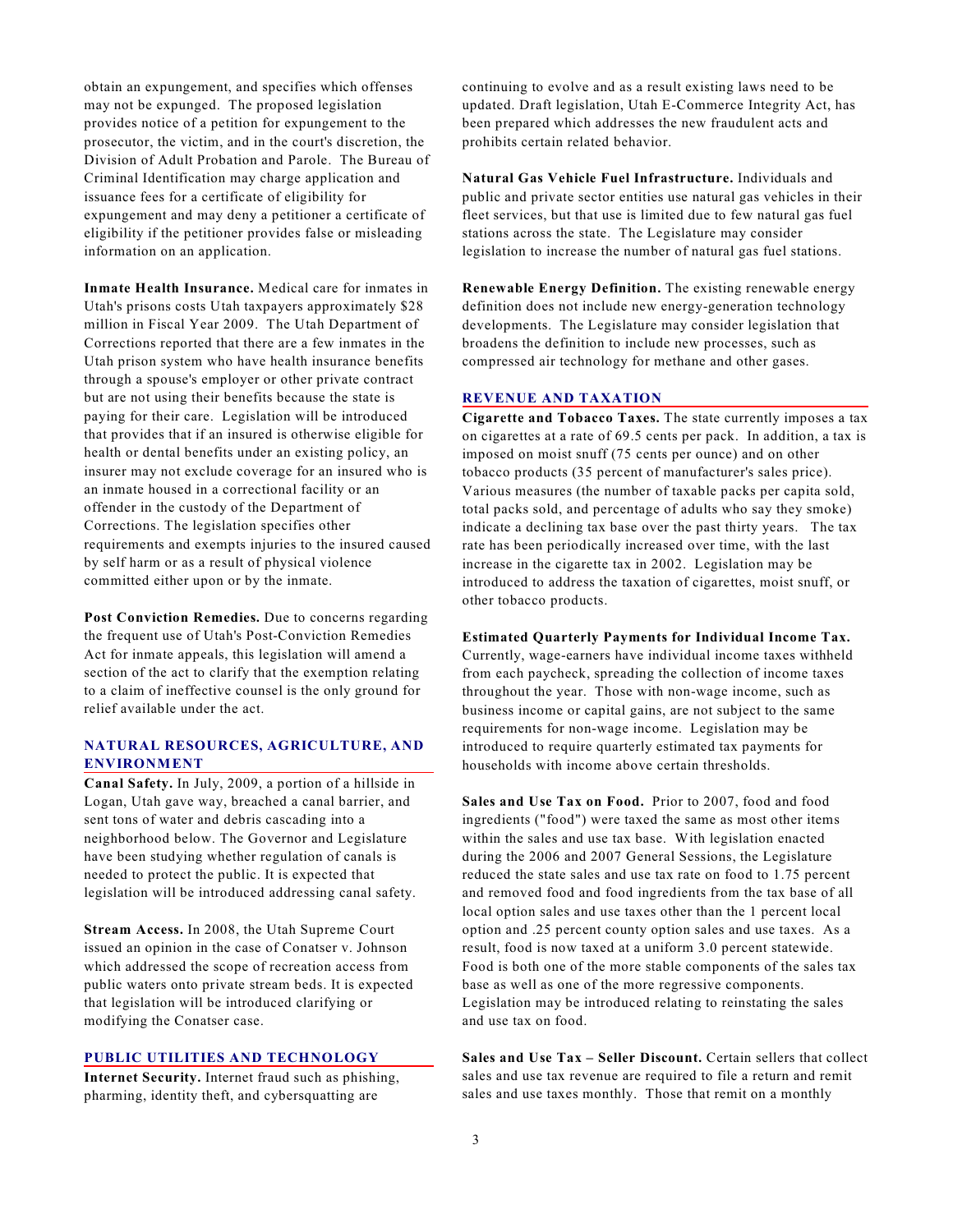obtain an expungement, and specifies which offenses may not be expunged. The proposed legislation provides notice of a petition for expungement to the prosecutor, the victim, and in the court's discretion, the Division of Adult Probation and Parole. The Bureau of Criminal Identification may charge application and issuance fees for a certificate of eligibility for expungement and may deny a petitioner a certificate of eligibility if the petitioner provides false or misleading information on an application.

**Inmate Health Insurance.** Medical care for inmates in Utah's prisons costs Utah taxpayers approximately \$28 million in Fiscal Year 2009. The Utah Department of Corrections reported that there are a few inmates in the Utah prison system who have health insurance benefits through a spouse's employer or other private contract but are not using their benefits because the state is paying for their care. Legislation will be introduced that provides that if an insured is otherwise eligible for health or dental benefits under an existing policy, an insurer may not exclude coverage for an insured who is an inmate housed in a correctional facility or an offender in the custody of the Department of Corrections. The legislation specifies other requirements and exempts injuries to the insured caused by self harm or as a result of physical violence committed either upon or by the inmate.

Post Conviction Remedies. Due to concerns regarding the frequent use of Utah's Post-Conviction Remedies Act for inmate appeals, this legislation will amend a section of the act to clarify that the exemption relating to a claim of ineffective counsel is the only ground for relief available under the act.

# **NATURAL RESOURCES, AGRICULTURE, AND ENVIRONMENT**

**Canal Safety.** In July, 2009, a portion of a hillside in Logan, Utah gave way, breached a canal barrier, and sent tons of water and debris cascading into a neighborhood below. The Governor and Legislature have been studying whether regulation of canals is needed to protect the public. It is expected that legislation will be introduced addressing canal safety.

**Stream Access.** In 2008, the Utah Supreme Court issued an opinion in the case of Conatser v. Johnson which addressed the scope of recreation access from public waters onto private stream beds. It is expected that legislation will be introduced clarifying or modifying the Conatser case.

# **PUBLIC UTILITIES AND TECHNOLOGY**

**Internet Security.** Internet fraud such as phishing, pharming, identity theft, and cybersquatting are

continuing to evolve and as a result existing laws need to be updated. Draft legislation, Utah E-Commerce Integrity Act, has been prepared which addresses the new fraudulent acts and prohibits certain related behavior.

**Natural Gas Vehicle Fuel Infrastructure.** Individuals and public and private sector entities use natural gas vehicles in their fleet services, but that use is limited due to few natural gas fuel stations across the state. The Legislature may consider legislation to increase the number of natural gas fuel stations.

**Renewable Energy Definition.** The existing renewable energy definition does not include new energy-generation technology developments. The Legislature may consider legislation that broadens the definition to include new processes, such as compressed air technology for methane and other gases.

#### **REVENUE AND TAXATION**

**Cigarette and Tobacco Taxes.** The state currently imposes a tax on cigarettes at a rate of 69.5 cents per pack. In addition, a tax is imposed on moist snuff (75 cents per ounce) and on other tobacco products (35 percent of manufacturer's sales price). Various measures (the number of taxable packs per capita sold, total packs sold, and percentage of adults who say they smoke) indicate a declining tax base over the past thirty years. The tax rate has been periodically increased over time, with the last increase in the cigarette tax in 2002. Legislation may be introduced to address the taxation of cigarettes, moist snuff, or other tobacco products.

**Estimated Quarterly Payments for Individual Income Tax.**

Currently, wage-earners have individual income taxes withheld from each paycheck, spreading the collection of income taxes throughout the year. Those with non-wage income, such as business income or capital gains, are not subject to the same requirements for non-wage income. Legislation may be introduced to require quarterly estimated tax payments for households with income above certain thresholds.

**Sales and Use Tax on Food.** Prior to 2007, food and food ingredients ("food") were taxed the same as most other items within the sales and use tax base. With legislation enacted during the 2006 and 2007 General Sessions, the Legislature reduced the state sales and use tax rate on food to 1.75 percent and removed food and food ingredients from the tax base of all local option sales and use taxes other than the 1 percent local option and .25 percent county option sales and use taxes. As a result, food is now taxed at a uniform 3.0 percent statewide. Food is both one of the more stable components of the sales tax base as well as one of the more regressive components. Legislation may be introduced relating to reinstating the sales and use tax on food.

Sales and Use Tax - Seller Discount. Certain sellers that collect sales and use tax revenue are required to file a return and remit sales and use taxes monthly. Those that remit on a monthly